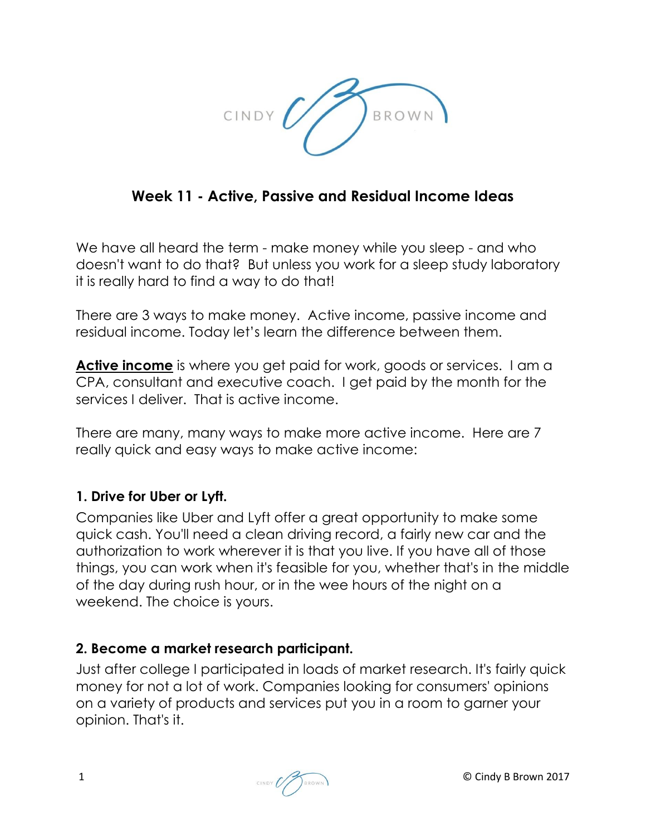

# **Week 11 - Active, Passive and Residual Income Ideas**

We have all heard the term - make money while you sleep - and who doesn't want to do that? But unless you work for a sleep study laboratory it is really hard to find a way to do that!

There are 3 ways to make money. Active income, passive income and residual income. Today let's learn the difference between them.

**Active income** is where you get paid for work, goods or services. I am a CPA, consultant and executive coach. I get paid by the month for the services I deliver. That is active income.

There are many, many ways to make more active income. Here are 7 really quick and easy ways to make active income:

#### **1. Drive for Uber or Lyft.**

Companies like Uber and Lyft offer a great opportunity to make some quick cash. You'll need a clean driving record, a fairly new car and the authorization to work wherever it is that you live. If you have all of those things, you can work when it's feasible for you, whether that's in the middle of the day during rush hour, or in the wee hours of the night on a weekend. The choice is yours.

#### **2. Become a market research participant.**

Just after college I participated in loads of market research. It's fairly quick money for not a lot of work. Companies looking for consumers' opinions on a variety of products and services put you in a room to garner your opinion. That's it.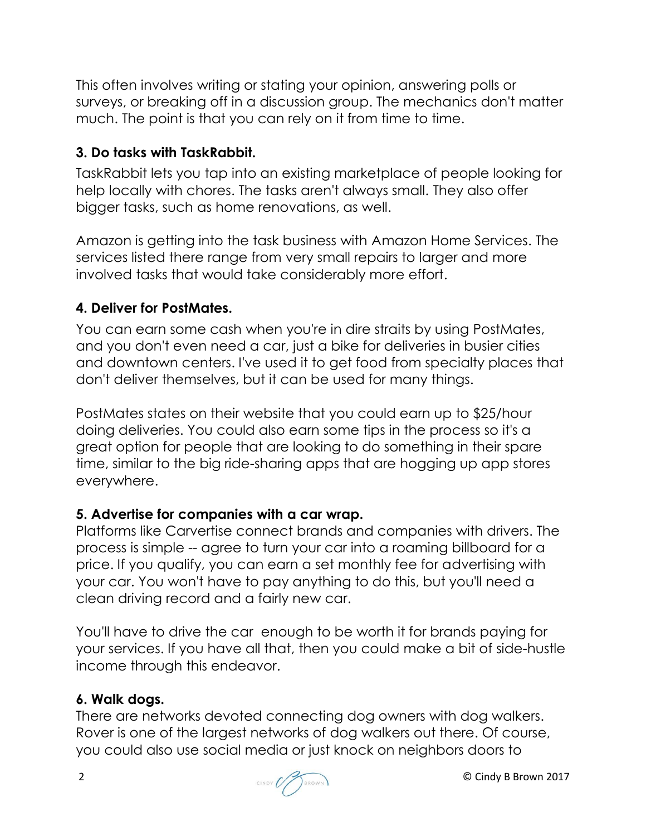This often involves writing or stating your opinion, answering polls or surveys, or breaking off in a discussion group. The mechanics don't matter much. The point is that you can rely on it from time to time.

## **3. Do tasks with TaskRabbit.**

TaskRabbit lets you tap into an existing marketplace of people looking for help locally with chores. The tasks aren't always small. They also offer bigger tasks, such as home renovations, as well.

Amazon is getting into the task business with Amazon Home Services. The services listed there range from very small repairs to larger and more involved tasks that would take considerably more effort.

## **4. Deliver for PostMates.**

You can earn some cash when you're in dire straits by using PostMates, and you don't even need a car, just a bike for deliveries in busier cities and downtown centers. I've used it to get food from specialty places that don't deliver themselves, but it can be used for many things.

PostMates states on their website that you could earn up to \$25/hour doing deliveries. You could also earn some tips in the process so it's a great option for people that are looking to do something in their spare time, similar to the big ride-sharing apps that are hogging up app stores everywhere.

### **5. Advertise for companies with a car wrap.**

Platforms like Carvertise connect brands and companies with drivers. The process is simple -- agree to turn your car into a roaming billboard for a price. If you qualify, you can earn a set monthly fee for advertising with your car. You won't have to pay anything to do this, but you'll need a clean driving record and a fairly new car.

You'll have to drive the car enough to be worth it for brands paying for your services. If you have all that, then you could make a bit of side-hustle income through this endeavor.

### **6. Walk dogs.**

There are networks devoted connecting dog owners with dog walkers. Rover is one of the largest networks of dog walkers out there. Of course, you could also use social media or just knock on neighbors doors to

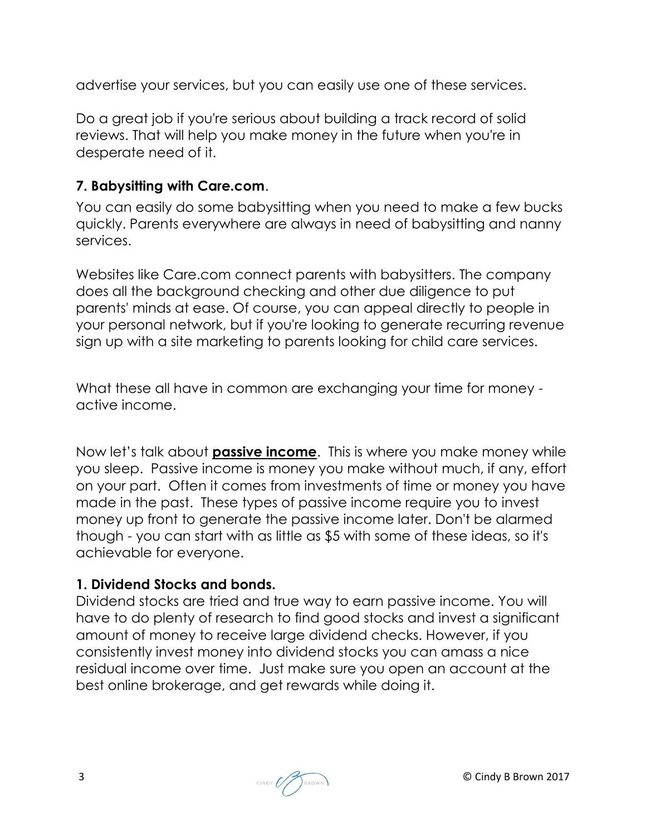advertise your services, but you can easily use one of these services.

Do a great job if you're serious about building a track record of solid reviews. That will help you make money in the future when you're in desperate need of it.

#### **7. Babysitting with Care.com**.

You can easily do some babysitting when you need to make a few bucks quickly. Parents everywhere are always in need of babysitting and nanny services.

Websites like Care.com connect parents with babysitters. The company does all the background checking and other due diligence to put parents' minds at ease. Of course, you can appeal directly to people in your personal network, but if you're looking to generate recurring revenue sign up with a site marketing to parents looking for child care services.

What these all have in common are exchanging your time for money active income.

Now let's talk about **passive income**. This is where you make money while you sleep. Passive income is money you make without much, if any, effort on your part. Often it comes from investments of time or money you have made in the past. These types of passive income require you to invest money up front to generate the passive income later. Don't be alarmed though - you can start with as little as \$5 with some of these ideas, so it's achievable for everyone.

#### **1. Dividend Stocks and bonds.**

Dividend stocks are tried and true way to earn passive income. You will have to do plenty of research to find good stocks and invest a significant amount of money to receive large dividend checks. However, if you consistently invest money into dividend stocks you can amass a nice residual income over time. Just make sure you open an account at the best online brokerage, and get rewards while doing it.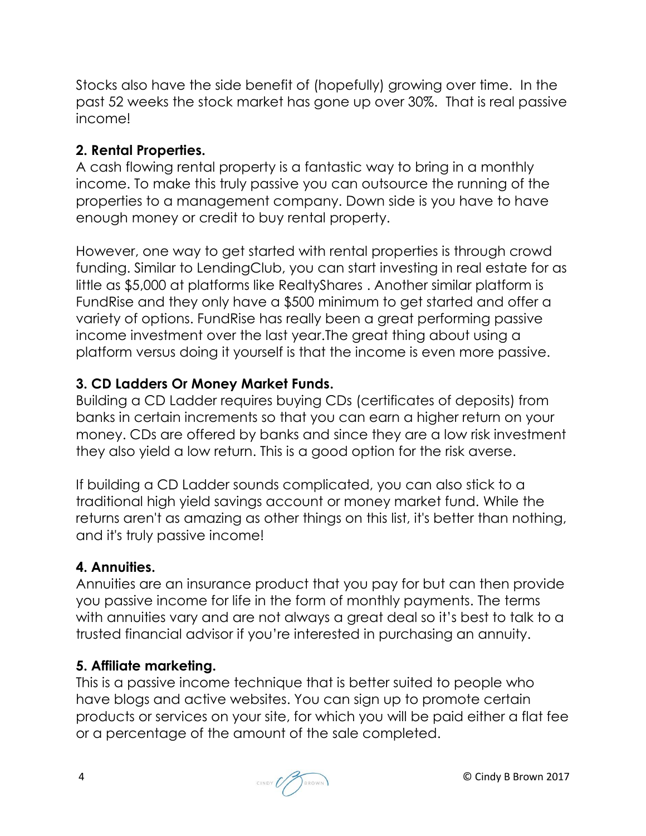Stocks also have the side benefit of (hopefully) growing over time. In the past 52 weeks the stock market has gone up over 30%. That is real passive income!

## **2. Rental Properties.**

A cash flowing rental property is a fantastic way to bring in a monthly income. To make this truly passive you can outsource the running of the properties to a management company. Down side is you have to have enough money or credit to buy rental property.

However, one way to get started with rental properties is through crowd funding. Similar to LendingClub, you can start investing in real estate for as little as \$5,000 at platforms like RealtyShares . Another similar platform is FundRise and they only have a \$500 minimum to get started and offer a variety of options. FundRise has really been a great performing passive income investment over the last year.The great thing about using a platform versus doing it yourself is that the income is even more passive.

## **3. CD Ladders Or Money Market Funds.**

Building a CD Ladder requires buying CDs (certificates of deposits) from banks in certain increments so that you can earn a higher return on your money. CDs are offered by banks and since they are a low risk investment they also yield a low return. This is a good option for the risk averse.

If building a CD Ladder sounds complicated, you can also stick to a traditional high yield savings account or money market fund. While the returns aren't as amazing as other things on this list, it's better than nothing, and it's truly passive income!

## **4. Annuities.**

Annuities are an insurance product that you pay for but can then provide you passive income for life in the form of monthly payments. The terms with annuities vary and are not always a great deal so it's best to talk to a trusted financial advisor if you're interested in purchasing an annuity.

### **5. Affiliate marketing.**

This is a passive income technique that is better suited to people who have blogs and active websites. You can sign up to promote certain products or services on your site, for which you will be paid either a flat fee or a percentage of the amount of the sale completed.

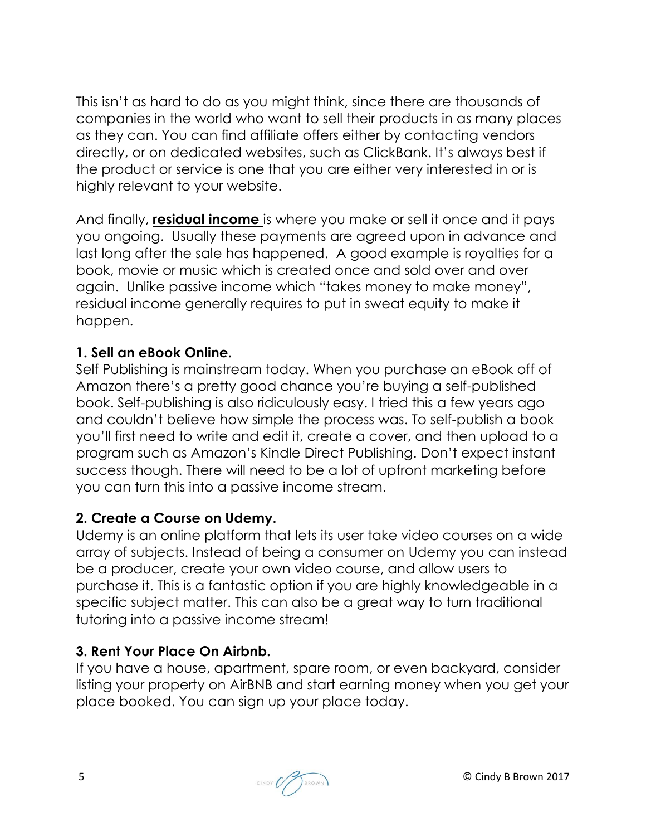This isn't as hard to do as you might think, since there are thousands of companies in the world who want to sell their products in as many places as they can. You can find affiliate offers either by contacting vendors directly, or on dedicated websites, such as ClickBank. It's always best if the product or service is one that you are either very interested in or is highly relevant to your website.

And finally, **residual income** is where you make or sell it once and it pays you ongoing. Usually these payments are agreed upon in advance and last long after the sale has happened. A good example is royalties for a book, movie or music which is created once and sold over and over again. Unlike passive income which "takes money to make money", residual income generally requires to put in sweat equity to make it happen.

#### **1. Sell an eBook Online.**

Self Publishing is mainstream today. When you purchase an eBook off of Amazon there's a pretty good chance you're buying a self-published book. Self-publishing is also ridiculously easy. I tried this a few years ago and couldn't believe how simple the process was. To self-publish a book you'll first need to write and edit it, create a cover, and then upload to a program such as Amazon's Kindle Direct Publishing. Don't expect instant success though. There will need to be a lot of upfront marketing before you can turn this into a passive income stream.

### **2. Create a Course on Udemy.**

Udemy is an online platform that lets its user take video courses on a wide array of subjects. Instead of being a consumer on Udemy you can instead be a producer, create your own video course, and allow users to purchase it. This is a fantastic option if you are highly knowledgeable in a specific subject matter. This can also be a great way to turn traditional tutoring into a passive income stream!

### **3. Rent Your Place On Airbnb.**

If you have a house, apartment, spare room, or even backyard, consider listing your property on AirBNB and start earning money when you get your place booked. You can sign up your place today.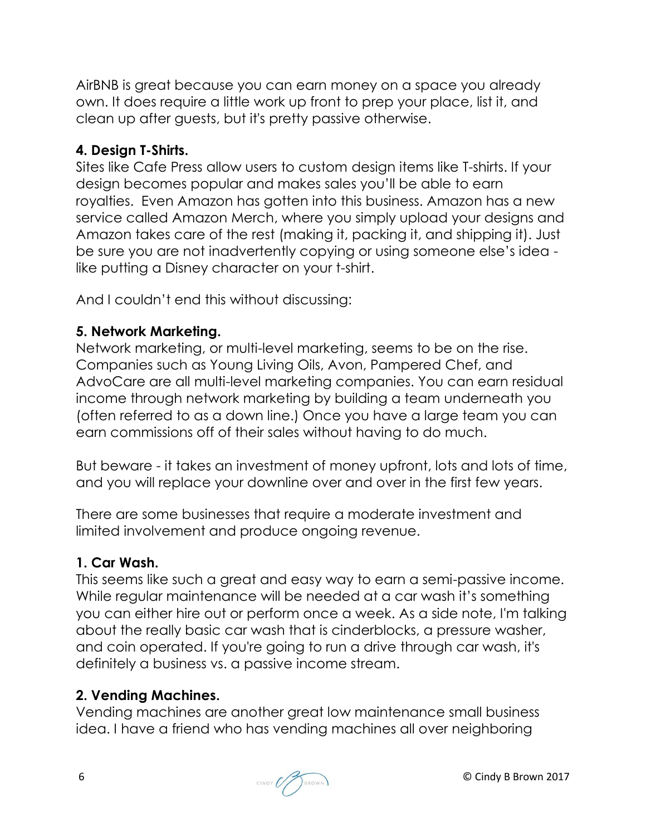AirBNB is great because you can earn money on a space you already own. It does require a little work up front to prep your place, list it, and clean up after guests, but it's pretty passive otherwise.

#### **4. Design T-Shirts.**

Sites like Cafe Press allow users to custom design items like T-shirts. If your design becomes popular and makes sales you'll be able to earn royalties. Even Amazon has gotten into this business. Amazon has a new service called Amazon Merch, where you simply upload your designs and Amazon takes care of the rest (making it, packing it, and shipping it). Just be sure you are not inadvertently copying or using someone else's idea like putting a Disney character on your t-shirt.

And I couldn't end this without discussing:

#### **5. Network Marketing.**

Network marketing, or multi-level marketing, seems to be on the rise. Companies such as Young Living Oils, Avon, Pampered Chef, and AdvoCare are all multi-level marketing companies. You can earn residual income through network marketing by building a team underneath you (often referred to as a down line.) Once you have a large team you can earn commissions off of their sales without having to do much.

But beware - it takes an investment of money upfront, lots and lots of time, and you will replace your downline over and over in the first few years.

There are some businesses that require a moderate investment and limited involvement and produce ongoing revenue.

#### **1. Car Wash.**

This seems like such a great and easy way to earn a semi-passive income. While regular maintenance will be needed at a car wash it's something you can either hire out or perform once a week. As a side note, I'm talking about the really basic car wash that is cinderblocks, a pressure washer, and coin operated. If you're going to run a drive through car wash, it's definitely a business vs. a passive income stream.

#### **2. Vending Machines.**

Vending machines are another great low maintenance small business idea. I have a friend who has vending machines all over neighboring

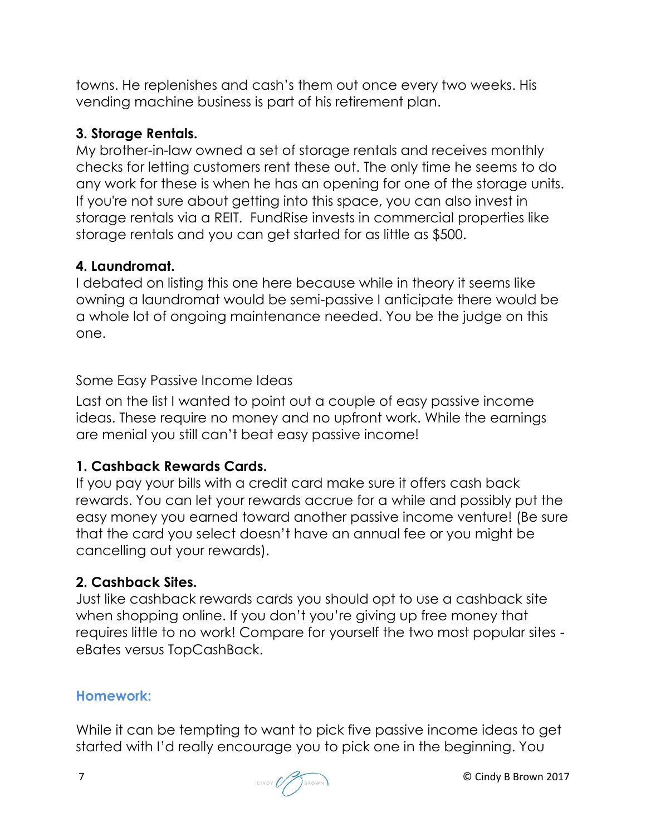towns. He replenishes and cash's them out once every two weeks. His vending machine business is part of his retirement plan.

### **3. Storage Rentals.**

My brother-in-law owned a set of storage rentals and receives monthly checks for letting customers rent these out. The only time he seems to do any work for these is when he has an opening for one of the storage units. If you're not sure about getting into this space, you can also invest in storage rentals via a REIT. FundRise invests in commercial properties like storage rentals and you can get started for as little as \$500.

### **4. Laundromat.**

I debated on listing this one here because while in theory it seems like owning a laundromat would be semi-passive I anticipate there would be a whole lot of ongoing maintenance needed. You be the judge on this one.

### Some Easy Passive Income Ideas

Last on the list I wanted to point out a couple of easy passive income ideas. These require no money and no upfront work. While the earnings are menial you still can't beat easy passive income!

### **1. Cashback Rewards Cards.**

If you pay your bills with a credit card make sure it offers cash back rewards. You can let your rewards accrue for a while and possibly put the easy money you earned toward another passive income venture! (Be sure that the card you select doesn't have an annual fee or you might be cancelling out your rewards).

### **2. Cashback Sites.**

Just like cashback rewards cards you should opt to use a cashback site when shopping online. If you don't you're giving up free money that requires little to no work! Compare for yourself the two most popular sites eBates versus TopCashBack.

#### **Homework:**

While it can be tempting to want to pick five passive income ideas to get started with I'd really encourage you to pick one in the beginning. You